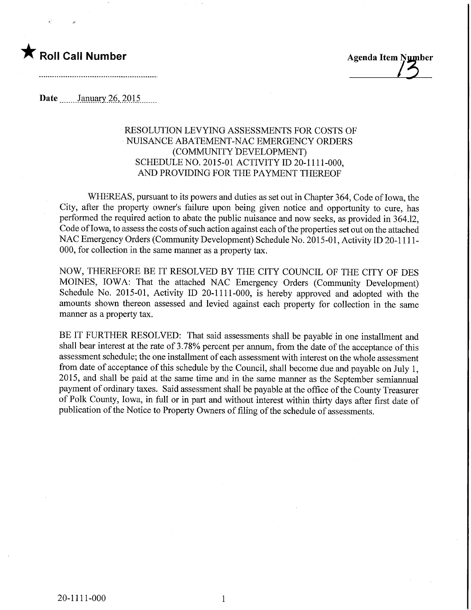## $\blacksquare$  Roll Call Number  $\blacksquare$  Agenda Item Number

Date ........January.26,.201.5,

## RESOLUTION LEVYING ASSESSMENTS FOR COSTS OF NUISANCE ABATEMENT-NAC EMERGENCY ORDERS (COMMUNITY DEVELOPMENT) SCHEDULE NO. 2015-01 ACTIVITY ID 20-1111-000, AND PROVIDING FOR THE PAYMENT THEREOF

WHEREAS, pursuant to its powers and duties as set out in Chapter 364, Code of Iowa, the City, after the property owner's failure upon being given notice and opportunity to cure, has performed the required action to abate the public nuisance and now seeks, as provided in 364.12, Code of Iowa, to assess the costs of such action against each of the properties set out on the attached NAC Emergency Orders (Community Development) Schedule No. 2015-01, Activity ID 20-1111- 000, for collection in the same manner as a property tax.

NOW, THEREFORE BE IT RESOLVED BY THE CITY COUNCIL OF THE CITY OF DES MOINES, IOWA: That the attached NAC Emergency Orders (Community Development) Schedule No. 2015-01, Activity ID 20-1111-000, is hereby approved and adopted with the amounts shown thereon assessed and levied against each property for collection in the same manner as a property tax.

BE IT FURTHER RESOLVED: That said assessments shall be payable in one installment and shall bear interest at the rate of 3.78% percent per annum, from the date of the acceptance of this assessment schedule; the one installment of each assessment with interest on the whole assessment from date of acceptance of this schedule by the Council, shall become due and payable on July 1, 2015, and shall be paid at the same time and in the same manner as the September semiamiual payment of ordinary taxes. Said assessment shall be payable at the office of the County Treasurer of Polk County, Iowa, in full or in part and without interest within thirty days after first date of publication of the Notice to Property Owners of filing of the schedule of assessments.